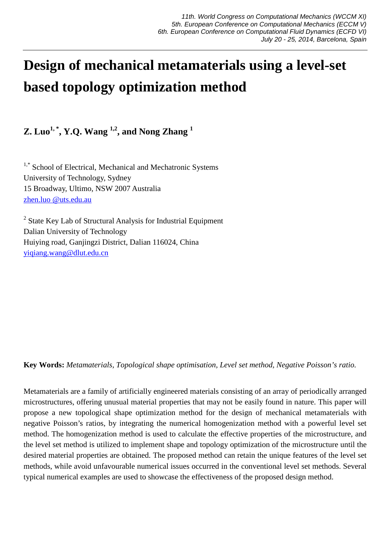# **Design of mechanical metamaterials using a level-set based topology optimization method**

**Z. Luo1, \*, Y.Q. Wang 1,2, and Nong Zhang <sup>1</sup>**

<sup>1,\*</sup> School of Electrical, Mechanical and Mechatronic Systems University of Technology, Sydney 15 Broadway, Ultimo, NSW 2007 Australia zhen.luo @uts.edu.au

 $2$  State Key Lab of Structural Analysis for Industrial Equipment Dalian University of Technology Huiying road, Ganjingzi District, Dalian 116024, China yiqiang.wang@dlut.edu.cn

**Key Words:** *Metamaterials, Topological shape optimisation, Level set method, Negative Poisson's ratio.* 

Metamaterials are a family of artificially engineered materials consisting of an array of periodically arranged microstructures, offering unusual material properties that may not be easily found in nature. This paper will propose a new topological shape optimization method for the design of mechanical metamaterials with negative Poisson's ratios, by integrating the numerical homogenization method with a powerful level set method. The homogenization method is used to calculate the effective properties of the microstructure, and the level set method is utilized to implement shape and topology optimization of the microstructure until the desired material properties are obtained. The proposed method can retain the unique features of the level set methods, while avoid unfavourable numerical issues occurred in the conventional level set methods. Several typical numerical examples are used to showcase the effectiveness of the proposed design method.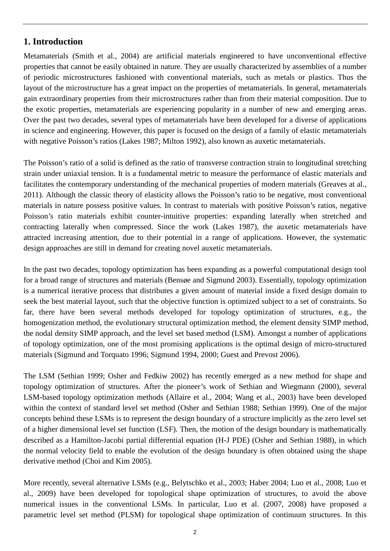## **1. Introduction**

Metamaterials (Smith et al., 2004) are artificial materials engineered to have unconventional effective properties that cannot be easily obtained in nature. They are usually characterized by assemblies of a number of periodic microstructures fashioned with conventional materials, such as metals or plastics. Thus the layout of the microstructure has a great impact on the properties of metamaterials. In general, metamaterials gain extraordinary properties from their microstructures rather than from their material composition. Due to the exotic properties, metamaterials are experiencing popularity in a number of new and emerging areas. Over the past two decades, several types of metamaterials have been developed for a diverse of applications in science and engineering. However, this paper is focused on the design of a family of elastic metamaterials with negative Poisson's ratios (Lakes 1987; Milton 1992), also known as auxetic metamaterials.

The Poisson's ratio of a solid is defined as the ratio of transverse contraction strain to longitudinal stretching strain under uniaxial tension. It is a fundamental metric to measure the performance of elastic materials and facilitates the contemporary understanding of the mechanical properties of modern materials (Greaves at al., 2011). Although the classic theory of elasticity allows the Poisson's ratio to be negative, most conventional materials in nature possess positive values. In contrast to materials with positive Poisson's ratios, negative Poisson's ratio materials exhibit counter-intuitive properties: expanding laterally when stretched and contracting laterally when compressed. Since the work (Lakes 1987), the auxetic metamaterials have attracted increasing attention, due to their potential in a range of applications. However, the systematic design approaches are still in demand for creating novel auxetic metamaterials.

In the past two decades, topology optimization has been expanding as a powerful computational design tool for a broad range of structures and materials (Bensøe and Sigmund 2003). Essentially, topology optimization is a numerical iterative process that distributes a given amount of material inside a fixed design domain to seek the best material layout, such that the objective function is optimized subject to a set of constraints. So far, there have been several methods developed for topology optimization of structures, e.g., the homogenization method, the evolutionary structural optimization method, the element density SIMP method, the nodal density SIMP approach, and the level set based method (LSM). Amongst a number of applications of topology optimization, one of the most promising applications is the optimal design of micro-structured materials (Sigmund and Torquato 1996; Sigmund 1994, 2000; Guest and Prevost 2006).

The LSM (Sethian 1999; Osher and Fedkiw 2002) has recently emerged as a new method for shape and topology optimization of structures. After the pioneer's work of Sethian and Wiegmann (2000), several LSM-based topology optimization methods (Allaire et al., 2004; Wang et al., 2003) have been developed within the context of standard level set method (Osher and Sethian 1988; Sethian 1999). One of the major concepts behind these LSMs is to represent the design boundary of a structure implicitly as the zero level set of a higher dimensional level set function (LSF). Then, the motion of the design boundary is mathematically described as a Hamilton-Jacobi partial differential equation (H-J PDE) (Osher and Sethian 1988), in which the normal velocity field to enable the evolution of the design boundary is often obtained using the shape derivative method (Choi and Kim 2005).

More recently, several alternative LSMs (e.g., Belytschko et al., 2003; Haber 2004; Luo et al., 2008; Luo et al., 2009) have been developed for topological shape optimization of structures, to avoid the above numerical issues in the conventional LSMs. In particular, Luo et al. (2007, 2008) have proposed a parametric level set method (PLSM) for topological shape optimization of continuum structures. In this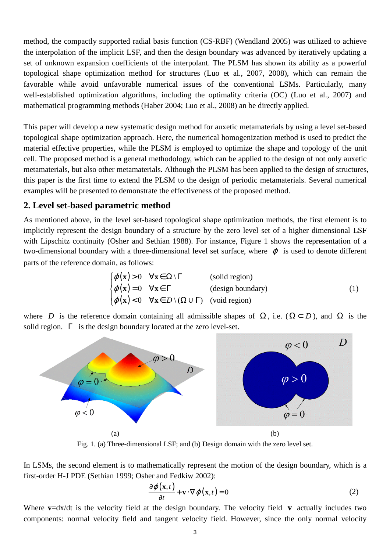method, the compactly supported radial basis function (CS-RBF) (Wendland 2005) was utilized to achieve the interpolation of the implicit LSF, and then the design boundary was advanced by iteratively updating a set of unknown expansion coefficients of the interpolant. The PLSM has shown its ability as a powerful topological shape optimization method for structures (Luo et al., 2007, 2008), which can remain the favorable while avoid unfavorable numerical issues of the conventional LSMs. Particularly, many well-established optimization algorithms, including the optimality criteria (OC) (Luo et al., 2007) and mathematical programming methods (Haber 2004; Luo et al., 2008) an be directly applied.

This paper will develop a new systematic design method for auxetic metamaterials by using a level set-based topological shape optimization approach. Here, the numerical homogenization method is used to predict the material effective properties, while the PLSM is employed to optimize the shape and topology of the unit cell. The proposed method is a general methodology, which can be applied to the design of not only auxetic metamaterials, but also other metamaterials. Although the PLSM has been applied to the design of structures, this paper is the first time to extend the PLSM to the design of periodic metamaterials. Several numerical examples will be presented to demonstrate the effectiveness of the proposed method.

## **2. Level set-based parametric method**

As mentioned above, in the level set-based topological shape optimization methods, the first element is to implicitly represent the design boundary of a structure by the zero level set of a higher dimensional LSF with Lipschitz continuity (Osher and Sethian 1988). For instance, Figure 1 shows the representation of a two-dimensional boundary with a three-dimensional level set surface, where  $\varphi$  is used to denote different parts of the reference domain, as follows:

$$
\begin{cases}\n\varphi(\mathbf{x}) > 0 & \forall \mathbf{x} \in \Omega \setminus \Gamma \quad \text{(solid region)} \\
\varphi(\mathbf{x}) = 0 & \forall \mathbf{x} \in \Gamma \quad \text{(design boundary)} \\
\varphi(\mathbf{x}) < 0 & \forall \mathbf{x} \in D \setminus (\Omega \cup \Gamma) \quad \text{(void region)}\n\end{cases}
$$
\n(1)

where *D* is the reference domain containing all admissible shapes of  $\Omega$ , i.e.  $(\Omega \subset D)$ , and  $\Omega$  is the solid region.  $\Gamma$  is the design boundary located at the zero level-set.



Fig. 1. (a) Three-dimensional LSF; and (b) Design domain with the zero level set.

In LSMs, the second element is to mathematically represent the motion of the design boundary, which is a first-order H-J PDE (Sethian 1999; Osher and Fedkiw 2002):

$$
\frac{\partial \varphi(\mathbf{x},t)}{\partial t} + \mathbf{v} \cdot \nabla \varphi(\mathbf{x},t) = 0
$$
 (2)

Where **v**=dx/dt is the velocity field at the design boundary. The velocity field **v** actually includes two components: normal velocity field and tangent velocity field. However, since the only normal velocity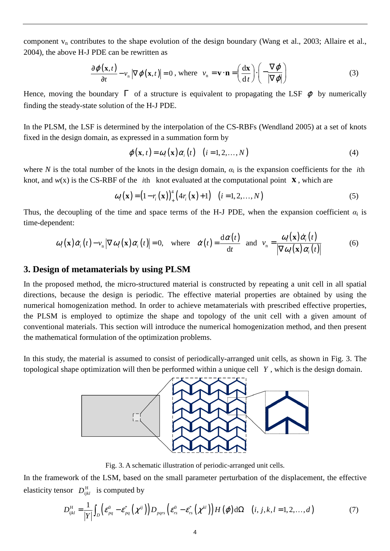component  $v_n$  contributes to the shape evolution of the design boundary (Wang et al., 2003; Allaire et al., 2004), the above H-J PDE can be rewritten as

$$
\frac{\partial \varphi(\mathbf{x},t)}{\partial t} - v_n |\nabla \varphi(\mathbf{x},t)| = 0, \text{ where } v_n = \mathbf{v} \cdot \mathbf{n} = \left(\frac{d\mathbf{x}}{dt}\right) \cdot \left(-\frac{\nabla \varphi}{|\nabla \varphi|}\right)
$$
(3)

Hence, moving the boundary  $\Gamma$  of a structure is equivalent to propagating the LSF  $\varphi$  by numerically finding the steady-state solution of the H-J PDE.

In the PLSM, the LSF is determined by the interpolation of the CS-RBFs (Wendland 2005) at a set of knots fixed in the design domain, as expressed in a summation form by

$$
\varphi(\mathbf{x},t) = \omega_i(\mathbf{x})\alpha_i(t) \quad (i = 1,2,...,N)
$$
\n(4)

where *N* is the total number of the knots in the design domain,  $\alpha_i$  is the expansion coefficients for the *i*th knot, and  $w(x)$  is the CS-RBF of the *i*th knot evaluated at the computational point **x**, which are

$$
\omega_i(\mathbf{x}) = (1 - r_i(\mathbf{x}))_+^4 \left(4r_i(\mathbf{x}) + 1\right) \quad (i = 1, 2, \dots, N)
$$
\n<sup>(5)</sup>

Thus, the decoupling of the time and space terms of the H-J PDE, when the expansion coefficient  $\alpha_i$  is time-dependent:

$$
\omega_i(\mathbf{x})\dot{\alpha}_i(t) - v_n |\nabla \omega_i(\mathbf{x})\alpha_i(t)| = 0, \text{ where } \dot{\alpha}(t) = \frac{\mathrm{d}\alpha(t)}{\mathrm{d}t} \text{ and } v_n = \frac{\omega_i(\mathbf{x})\dot{\alpha}_i(t)}{|\nabla \omega_i(\mathbf{x})\alpha_i(t)|}
$$
(6)

## **3. Design of metamaterials by using PLSM**

In the proposed method, the micro-structured material is constructed by repeating a unit cell in all spatial directions, because the design is periodic. The effective material properties are obtained by using the numerical homogenization method. In order to achieve metamaterials with prescribed effective properties, the PLSM is employed to optimize the shape and topology of the unit cell with a given amount of conventional materials. This section will introduce the numerical homogenization method, and then present the mathematical formulation of the optimization problems.

In this study, the material is assumed to consist of periodically-arranged unit cells, as shown in Fig. 3. The topological shape optimization will then be performed within a unique cell *Y* , which is the design domain.



Fig. 3. A schematic illustration of periodic-arranged unit cells.

In the framework of the LSM, based on the small parameter perturbation of the displacement, the effective elasticity tensor  $D_{ijkl}^{\text{H}}$  is computed by

$$
D_{ijkl}^{\mathrm{H}} = \frac{1}{|Y|} \int_{D} \left( \mathcal{E}_{pq}^{0} - \mathcal{E}_{pq}^{*} \left( \chi^{ij} \right) \right) D_{pqrs} \left( \mathcal{E}_{rs}^{0} - \mathcal{E}_{rs}^{*} \left( \chi^{kl} \right) \right) H \left( \varphi \right) d\Omega \quad (i, j, k, l = 1, 2, ..., d)
$$
 (7)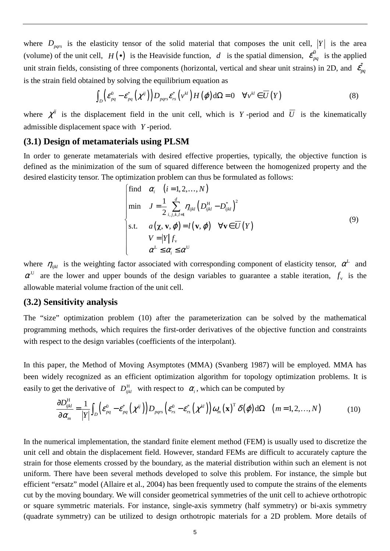where  $D_{pqrs}$  is the elasticity tensor of the solid material that composes the unit cell,  $|Y|$  is the area (volume) of the unit cell,  $H(\bullet)$  is the Heaviside function, d is the spatial dimension,  $\mathcal{E}_{pq}^0$  is the applied unit strain fields, consisting of three components (horizontal, vertical and shear unit strains) in 2D, and  $\,\vec{\epsilon_{_{pq}}}$ is the strain field obtained by solving the equilibrium equation as

$$
\int_{D} \left( \mathcal{E}_{pq}^{0} - \mathcal{E}_{pq}^{*} \left( \chi^{ij} \right) \right) D_{pqrs} \mathcal{E}_{rs}^{*} \left( v^{kl} \right) H \left( \varphi \right) d\Omega = 0 \quad \forall v^{kl} \in \overline{U} \left( Y \right) \tag{8}
$$

where  $\chi^{ij}$  is the displacement field in the unit cell, which is *Y* -period and  $\overline{U}$  is the kinematically admissible displacement space with *Y* -period.

#### **(3.1) Design of metamaterials using PLSM**

In order to generate metamaterials with desired effective properties, typically, the objective function is defined as the minimization of the sum of squared difference between the homogenized property and the desired elasticity tensor. The optimization problem can thus be formulated as follows:

$$
\begin{cases}\n\text{find} & \alpha_i \quad (i = 1, 2, \dots, N) \\
\text{min} & J = \frac{1}{2} \sum_{i,j,k,l=1}^d \eta_{ijkl} \left( D_{ijkl}^{\text{H}} - D_{ijkl}^{\ast} \right)^2 \\
\text{s.t.} & a(\boldsymbol{\chi}, \mathbf{v}, \boldsymbol{\varphi}) = l(\mathbf{v}, \boldsymbol{\varphi}) \quad \forall \mathbf{v} \in \overline{U}(Y) \\
& V = |Y| f_v \\
& \alpha^{\text{L}} \leq \alpha_i \leq \alpha^{\text{U}}\n\end{cases}\n\tag{9}
$$

where  $\eta_{ijkl}$  is the weighting factor associated with corresponding component of elasticity tensor,  $\alpha^L$  and  $\alpha^U$  are the lower and upper bounds of the design variables to guarantee a stable iteration,  $f_v$  is the allowable material volume fraction of the unit cell.

#### **(3.2) Sensitivity analysis**

The "size" optimization problem (10) after the parameterization can be solved by the mathematical programming methods, which requires the first-order derivatives of the objective function and constraints with respect to the design variables (coefficients of the interpolant).

In this paper, the Method of Moving Asymptotes (MMA) (Svanberg 1987) will be employed. MMA has been widely recognized as an efficient optimization algorithm for topology optimization problems. It is easily to get the derivative of  $D_{ijkl}^H$  with respect to  $\alpha_i$ , which can be computed by

$$
\frac{\partial D_{ijkl}^{\mathrm{H}}}{\partial \alpha_m} = \frac{1}{|Y|} \int_D \left( \varepsilon_{pq}^0 - \varepsilon_{pq}^* \left( \chi^{ij} \right) \right) D_{pqrs} \left( \varepsilon_{rs}^0 - \varepsilon_{rs}^* \left( \chi^{kl} \right) \right) \omega_m (\mathbf{x})^{\mathrm{T}} \delta(\varphi) \, \mathrm{d}\Omega \quad (m = 1, 2, ..., N) \tag{10}
$$

In the numerical implementation, the standard finite element method (FEM) is usually used to discretize the unit cell and obtain the displacement field. However, standard FEMs are difficult to accurately capture the strain for those elements crossed by the boundary, as the material distribution within such an element is not uniform. There have been several methods developed to solve this problem. For instance, the simple but efficient "ersatz" model (Allaire et al., 2004) has been frequently used to compute the strains of the elements cut by the moving boundary. We will consider geometrical symmetries of the unit cell to achieve orthotropic or square symmetric materials. For instance, single-axis symmetry (half symmetry) or bi-axis symmetry (quadrate symmetry) can be utilized to design orthotropic materials for a 2D problem. More details of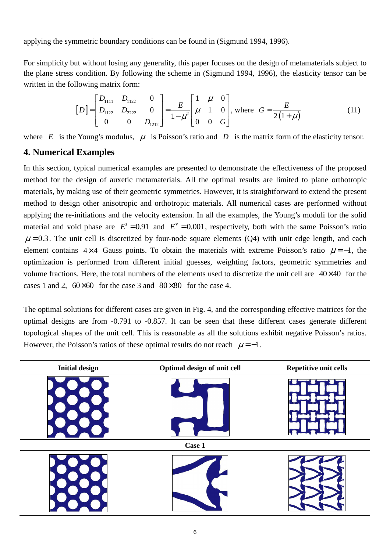applying the symmetric boundary conditions can be found in (Sigmund 1994, 1996).

For simplicity but without losing any generality, this paper focuses on the design of metamaterials subject to the plane stress condition. By following the scheme in (Sigmund 1994, 1996), the elasticity tensor can be written in the following matrix form:

$$
[D] = \begin{bmatrix} D_{1111} & D_{1122} & 0 \\ D_{1122} & D_{2222} & 0 \\ 0 & 0 & D_{1212} \end{bmatrix} = \frac{E}{1 - \mu^2} \begin{bmatrix} 1 & \mu & 0 \\ \mu & 1 & 0 \\ 0 & 0 & G \end{bmatrix}
$$
, where  $G = \frac{E}{2(1 + \mu)}$  (11)

where *E* is the Young's modulus,  $\mu$  is Poisson's ratio and *D* is the matrix form of the elasticity tensor.

### **4. Numerical Examples**

In this section, typical numerical examples are presented to demonstrate the effectiveness of the proposed method for the design of auxetic metamaterials. All the optimal results are limited to plane orthotropic materials, by making use of their geometric symmetries. However, it is straightforward to extend the present method to design other anisotropic and orthotropic materials. All numerical cases are performed without applying the re-initiations and the velocity extension. In all the examples, the Young's moduli for the solid material and void phase are  $E^s = 0.91$  and  $E^v = 0.001$ , respectively, both with the same Poisson's ratio  $\mu$  = 0.3. The unit cell is discretized by four-node square elements (Q4) with unit edge length, and each element contains 4×4 Gauss points. To obtain the materials with extreme Poisson's ratio  $\mu = -1$ , the optimization is performed from different initial guesses, weighting factors, geometric symmetries and volume fractions. Here, the total numbers of the elements used to discretize the unit cell are  $40\times 40$  for the cases 1 and 2,  $60 \times 60$  for the case 3 and  $80 \times 80$  for the case 4.

The optimal solutions for different cases are given in Fig. 4, and the corresponding effective matrices for the optimal designs are from -0.791 to -0.857. It can be seen that these different cases generate different topological shapes of the unit cell. This is reasonable as all the solutions exhibit negative Poisson's ratios. However, the Poisson's ratios of these optimal results do not reach  $\mu = -1$ .

| <b>Initial design</b> | Optimal design of unit cell | Repetitive unit cells |
|-----------------------|-----------------------------|-----------------------|
|                       |                             |                       |
| Case 1                |                             |                       |
|                       |                             |                       |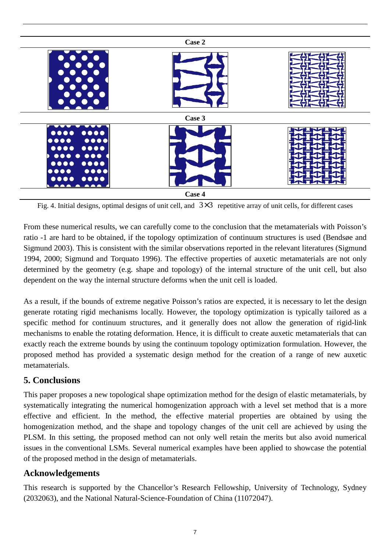

Fig. 4. Initial designs, optimal designs of unit cell, and  $3\times3$  repetitive array of unit cells, for different cases

From these numerical results, we can carefully come to the conclusion that the metamaterials with Poisson's ratio -1 are hard to be obtained, if the topology optimization of continuum structures is used (Bendsøe and Sigmund 2003). This is consistent with the similar observations reported in the relevant literatures (Sigmund 1994, 2000; Sigmund and Torquato 1996). The effective properties of auxetic metamaterials are not only determined by the geometry (e.g. shape and topology) of the internal structure of the unit cell, but also dependent on the way the internal structure deforms when the unit cell is loaded.

As a result, if the bounds of extreme negative Poisson's ratios are expected, it is necessary to let the design generate rotating rigid mechanisms locally. However, the topology optimization is typically tailored as a specific method for continuum structures, and it generally does not allow the generation of rigid-link mechanisms to enable the rotating deformation. Hence, it is difficult to create auxetic metamaterials that can exactly reach the extreme bounds by using the continuum topology optimization formulation. However, the proposed method has provided a systematic design method for the creation of a range of new auxetic metamaterials.

# **5. Conclusions**

This paper proposes a new topological shape optimization method for the design of elastic metamaterials, by systematically integrating the numerical homogenization approach with a level set method that is a more effective and efficient. In the method, the effective material properties are obtained by using the homogenization method, and the shape and topology changes of the unit cell are achieved by using the PLSM. In this setting, the proposed method can not only well retain the merits but also avoid numerical issues in the conventional LSMs. Several numerical examples have been applied to showcase the potential of the proposed method in the design of metamaterials.

# **Acknowledgements**

This research is supported by the Chancellor's Research Fellowship, University of Technology, Sydney (2032063), and the National Natural-Science-Foundation of China (11072047).